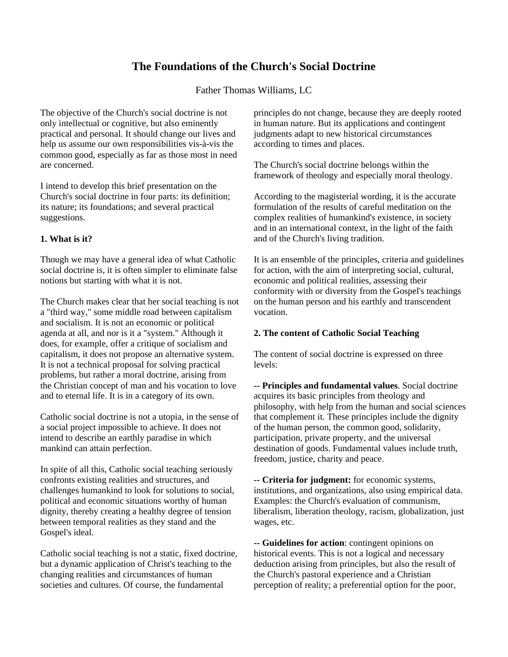# **The Foundations of the Church's Social Doctrine**

Father Thomas Williams, LC

The objective of the Church's social doctrine is not only intellectual or cognitive, but also eminently practical and personal. It should change our lives and help us assume our own responsibilities vis-à-vis the common good, especially as far as those most in need are concerned.

I intend to develop this brief presentation on the Church's social doctrine in four parts: its definition; its nature; its foundations; and several practical suggestions.

## **1. What is it?**

Though we may have a general idea of what Catholic social doctrine is, it is often simpler to eliminate false notions but starting with what it is not.

The Church makes clear that her social teaching is not a "third way," some middle road between capitalism and socialism. It is not an economic or political agenda at all, and nor is it a "system." Although it does, for example, offer a critique of socialism and capitalism, it does not propose an alternative system. It is not a technical proposal for solving practical problems, but rather a moral doctrine, arising from the Christian concept of man and his vocation to love and to eternal life. It is in a category of its own.

Catholic social doctrine is not a utopia, in the sense of a social project impossible to achieve. It does not intend to describe an earthly paradise in which mankind can attain perfection.

In spite of all this, Catholic social teaching seriously confronts existing realities and structures, and challenges humankind to look for solutions to social, political and economic situations worthy of human dignity, thereby creating a healthy degree of tension between temporal realities as they stand and the Gospel's ideal.

Catholic social teaching is not a static, fixed doctrine, but a dynamic application of Christ's teaching to the changing realities and circumstances of human societies and cultures. Of course, the fundamental

principles do not change, because they are deeply rooted in human nature. But its applications and contingent judgments adapt to new historical circumstances according to times and places.

The Church's social doctrine belongs within the framework of theology and especially moral theology.

According to the magisterial wording, it is the accurate formulation of the results of careful meditation on the complex realities of humankind's existence, in society and in an international context, in the light of the faith and of the Church's living tradition.

It is an ensemble of the principles, criteria and guidelines for action, with the aim of interpreting social, cultural, economic and political realities, assessing their conformity with or diversity from the Gospel's teachings on the human person and his earthly and transcendent vocation.

## **2. The content of Catholic Social Teaching**

The content of social doctrine is expressed on three levels:

**-- Principles and fundamental values**. Social doctrine acquires its basic principles from theology and philosophy, with help from the human and social sciences that complement it. These principles include the dignity of the human person, the common good, solidarity, participation, private property, and the universal destination of goods. Fundamental values include truth, freedom, justice, charity and peace.

**-- Criteria for judgment:** for economic systems, institutions, and organizations, also using empirical data. Examples: the Church's evaluation of communism, liberalism, liberation theology, racism, globalization, just wages, etc.

**-- Guidelines for action**: contingent opinions on historical events. This is not a logical and necessary deduction arising from principles, but also the result of the Church's pastoral experience and a Christian perception of reality; a preferential option for the poor,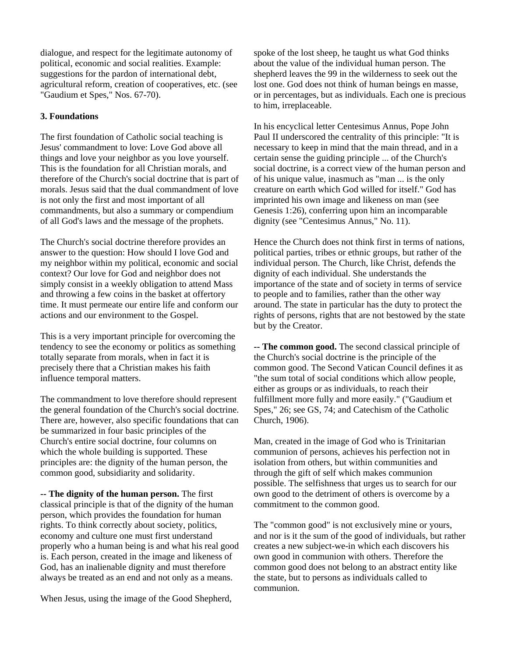dialogue, and respect for the legitimate autonomy of political, economic and social realities. Example: suggestions for the pardon of international debt, agricultural reform, creation of cooperatives, etc. (see "Gaudium et Spes," Nos. 67-70).

### **3. Foundations**

The first foundation of Catholic social teaching is Jesus' commandment to love: Love God above all things and love your neighbor as you love yourself. This is the foundation for all Christian morals, and therefore of the Church's social doctrine that is part of morals. Jesus said that the dual commandment of love is not only the first and most important of all commandments, but also a summary or compendium of all God's laws and the message of the prophets.

The Church's social doctrine therefore provides an answer to the question: How should I love God and my neighbor within my political, economic and social context? Our love for God and neighbor does not simply consist in a weekly obligation to attend Mass and throwing a few coins in the basket at offertory time. It must permeate our entire life and conform our actions and our environment to the Gospel.

This is a very important principle for overcoming the tendency to see the economy or politics as something totally separate from morals, when in fact it is precisely there that a Christian makes his faith influence temporal matters.

The commandment to love therefore should represent the general foundation of the Church's social doctrine. There are, however, also specific foundations that can be summarized in four basic principles of the Church's entire social doctrine, four columns on which the whole building is supported. These principles are: the dignity of the human person, the common good, subsidiarity and solidarity.

**-- The dignity of the human person.** The first classical principle is that of the dignity of the human person, which provides the foundation for human rights. To think correctly about society, politics, economy and culture one must first understand properly who a human being is and what his real good is. Each person, created in the image and likeness of God, has an inalienable dignity and must therefore always be treated as an end and not only as a means.

When Jesus, using the image of the Good Shepherd,

spoke of the lost sheep, he taught us what God thinks about the value of the individual human person. The shepherd leaves the 99 in the wilderness to seek out the lost one. God does not think of human beings en masse, or in percentages, but as individuals. Each one is precious to him, irreplaceable.

In his encyclical letter Centesimus Annus, Pope John Paul II underscored the centrality of this principle: "It is necessary to keep in mind that the main thread, and in a certain sense the guiding principle ... of the Church's social doctrine, is a correct view of the human person and of his unique value, inasmuch as "man ... is the only creature on earth which God willed for itself." God has imprinted his own image and likeness on man (see Genesis 1:26), conferring upon him an incomparable dignity (see "Centesimus Annus," No. 11).

Hence the Church does not think first in terms of nations, political parties, tribes or ethnic groups, but rather of the individual person. The Church, like Christ, defends the dignity of each individual. She understands the importance of the state and of society in terms of service to people and to families, rather than the other way around. The state in particular has the duty to protect the rights of persons, rights that are not bestowed by the state but by the Creator.

**-- The common good.** The second classical principle of the Church's social doctrine is the principle of the common good. The Second Vatican Council defines it as "the sum total of social conditions which allow people, either as groups or as individuals, to reach their fulfillment more fully and more easily." ("Gaudium et Spes," 26; see GS, 74; and Catechism of the Catholic Church, 1906).

Man, created in the image of God who is Trinitarian communion of persons, achieves his perfection not in isolation from others, but within communities and through the gift of self which makes communion possible. The selfishness that urges us to search for our own good to the detriment of others is overcome by a commitment to the common good.

The "common good" is not exclusively mine or yours, and nor is it the sum of the good of individuals, but rather creates a new subject-we-in which each discovers his own good in communion with others. Therefore the common good does not belong to an abstract entity like the state, but to persons as individuals called to communion.